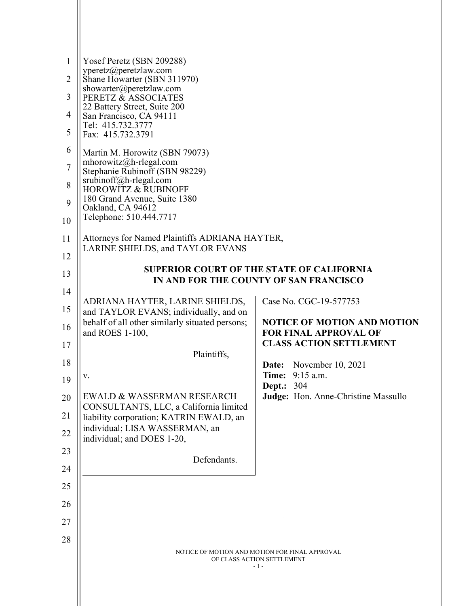| 1              | Yosef Peretz (SBN 209288)                                                                  |                                                                    |
|----------------|--------------------------------------------------------------------------------------------|--------------------------------------------------------------------|
| $\overline{2}$ | yperetz@peretzlaw.com<br>Shane Howarter (SBN 311970)                                       |                                                                    |
| 3              | showarter@peretzlaw.com<br>PERETZ & ASSOCIATES                                             |                                                                    |
| 4              | 22 Battery Street, Suite 200<br>San Francisco, CA 94111                                    |                                                                    |
| 5              | Tel: 415.732.3777<br>Fax: 415.732.3791                                                     |                                                                    |
| 6              | Martin M. Horowitz (SBN 79073)                                                             |                                                                    |
| $\overline{7}$ | mhorowitz@h-rlegal.com<br>Stephanie Rubinoff (SBN 98229)                                   |                                                                    |
| 8              | srubinoff@h-rlegal.com<br><b>HOROWITZ &amp; RUBINOFF</b>                                   |                                                                    |
| 9              | 180 Grand Avenue, Suite 1380<br>Oakland, CA 94612<br>Telephone: 510.444.7717               |                                                                    |
| 10             |                                                                                            |                                                                    |
| 11             | Attorneys for Named Plaintiffs ADRIANA HAYTER,                                             |                                                                    |
| 12             | <b>LARINE SHIELDS, and TAYLOR EVANS</b>                                                    |                                                                    |
| 13             | <b>SUPERIOR COURT OF THE STATE OF CALIFORNIA</b><br>IN AND FOR THE COUNTY OF SAN FRANCISCO |                                                                    |
| 14             |                                                                                            | Case No. CGC-19-577753                                             |
| 15             | ADRIANA HAYTER, LARINE SHIELDS,<br>and TAYLOR EVANS; individually, and on                  |                                                                    |
| 16             | behalf of all other similarly situated persons;<br>and ROES 1-100,                         | <b>NOTICE OF MOTION AND MOTION</b><br><b>FOR FINAL APPROVAL OF</b> |
| 17             | Plaintiffs,                                                                                | <b>CLASS ACTION SETTLEMENT</b>                                     |
| 18             |                                                                                            | <b>Date:</b> November 10, 2021                                     |
| 19             | v.                                                                                         | Time: 9:15 a.m.<br><b>Dept.: 304</b>                               |
| 20             | <b>EWALD &amp; WASSERMAN RESEARCH</b><br>CONSULTANTS, LLC, a California limited            | Judge: Hon. Anne-Christine Massullo                                |
| 21             | liability corporation; KATRIN EWALD, an                                                    |                                                                    |
| 22             | individual; LISA WASSERMAN, an<br>individual; and DOES 1-20,                               |                                                                    |
| 23             | Defendants.                                                                                |                                                                    |
| 24             |                                                                                            |                                                                    |
| 25             |                                                                                            |                                                                    |
| 26             |                                                                                            |                                                                    |
| 27             |                                                                                            |                                                                    |
| 28             |                                                                                            |                                                                    |
|                | NOTICE OF MOTION AND MOTION FOR FINAL APPROVAL<br>OF CLASS ACTION SETTLEMENT<br>$-1-$      |                                                                    |
|                |                                                                                            |                                                                    |
|                |                                                                                            |                                                                    |